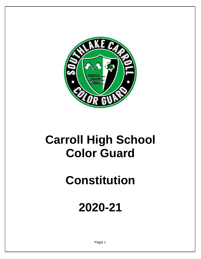

## **Carroll High School Color Guard**

# **Constitution**

## **2020-21**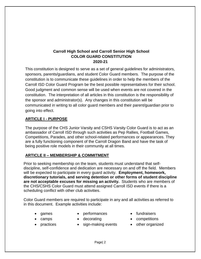## **Carroll High School and Carroll Senior High School COLOR GUARD CONSTITUTION 2020-21**

This constitution is designed to serve as a set of general guidelines for administrators, sponsors, parents/guardians, and student Color Guard members. The purpose of the constitution is to communicate these guidelines in order to help the members of the Carroll ISD Color Guard Program be the best possible representatives for their school. Good judgment and common sense will be used when events are not covered in the constitution. The interpretation of all articles in this constitution is the responsibility of the sponsor and administrator(s). Any changes in this constitution will be communicated in writing to all color guard members and their parent/guardian prior to going into effect.

#### **ARTICLE I - PURPOSE**

The purpose of the CHS Junior Varsity and CSHS Varsity Color Guard is to act as an ambassador of Carroll ISD through such activities as Pep Rallies, Football Games, Competitions, Parades, and other school-related performances or appearances. They are a fully functioning component of the Carroll Dragon Band and have the task of being positive role models in their community at all times.

#### **ARTICLE II – MEMBERSHIP & COMMITMENT**

Prior to seeking membership on the team, students must understand that selfdiscipline, self-confidence and dedication are necessary on and off the field. Members will be expected to participate in every guard activity. **Employment, homework, discretionary tutorials, and serving detention or other forms of student discipline are not acceptable excuses for missing an activity.** Students who are members of the CHS/CSHS Color Guard must attend assigned Carroll ISD events if there is a scheduling conflict with other club activities.

Color Guard members are required to participate in any and all activities as referred to in this document. Example activities include:

- games
- performances
- fundraisers
- competitions

• practices

camps

- decorating • sign-making events
- other organized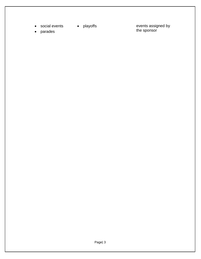- social events playoffs
	-
- parades

• playoffs events assigned by the sponsor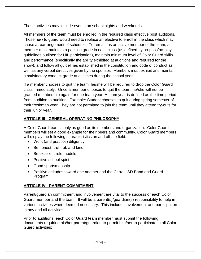These activities may include events on school nights and weekends.

All members of the team must be enrolled in the required class effective post auditions. Those new to guard would need to replace an elective to enroll in the class which may cause a rearrangement of schedule. To remain as an active member of the team, a member must maintain a passing grade in each class (as defined by no-pass/no-play guidelines outlined for UIL participation), maintain minimum level of Color Guard skills and performance (specifically the ability exhibited at auditions and required for the show), and follow all guidelines established in the constitution and code of conduct as well as any verbal directives given by the sponsor. Members must exhibit and maintain a satisfactory conduct grade at all times during the school year.

If a member chooses to quit the team, he/she will be required to drop the Color Guard class immediately. Once a member chooses to quit the team, he/she will not be granted membership again for one team year. A team year is defined as the time period from 'audition to audition.' Example: Student chooses to quit during spring semester of their freshman year. They are not permitted to join the team until they attend try-outs for their junior year.

## **ARTICLE III - GENERAL OPERATING PHILOSOPHY**

A Color Guard team is only as good as its members and organization. Color Guard members will set a good example for their peers and community. Color Guard members will display the following characteristics on and off the field:

- Work (and practice) diligently
- Be honest, truthful, and kind
- Be excellent role models
- Positive school spirit
- Good sportsmanship
- Positive attitudes toward one another and the Carroll ISD Band and Guard Program

## **ARTICLE IV - PARENT COMMITMENT**

Parent/guardian commitment and involvement are vital to the success of each Color Guard member and the team. It will be a parent(s)/guardian(s) responsibility to help in various activities when deemed necessary. This includes involvement and participation in any and all activities.

Prior to auditions, each Color Guard team member must submit the following documents requiring his/her parent/guardian to permit him/her to participate in all Color Guard activities: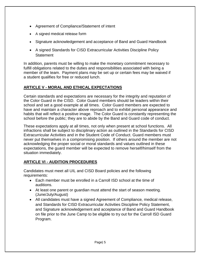- Agreement of Compliance/Statement of intent
- A signed medical release form
- Signature acknowledgement and acceptance of Band and Guard Handbook
- A signed Standards for CISD Extracurricular Activities Discipline Policy **Statement**

In addition, parents must be willing to make the monetary commitment necessary to fulfill obligations related to the duties and responsibilities associated with being a member of the team. Payment plans may be set up or certain fees may be waived if a student qualifies for free or reduced lunch.

## **ARTICLE V - MORAL AND ETHICAL EXPECTATIONS**

Certain standards and expectations are necessary for the integrity and reputation of the Color Guard in the CISD. Color Guard members should be leaders within their school and set a good example at all times. Color Guard members are expected to have and maintain a character above reproach and to exhibit personal appearance and habits that will reflect a positive image. The Color Guard is constantly representing the school before the public; they are to abide by the Band and Guard code of conduct.

These expectations apply at all times, not only when present at school functions. All infractions shall be subject to disciplinary action as outlined in the Standards for CISD Extracurricular Activities and in the Student Code of Conduct. Guard members must never put themselves in a compromising position. If others around the member are not acknowledging the proper social or moral standards and values outlined in these expectations, the guard member will be expected to remove herself/himself from the situation immediately.

## **ARTICLE VI - AUDITION PROCEDURES**

Candidates must meet all UIL and CISD Board policies and the following requirements:

- Each member must be enrolled in a Carroll ISD school at the time of auditions.
- At least one parent or guardian must attend the start of season meeting. (June/July/August)
- All candidates must have a signed Agreement of Compliance*,* medical release, and Standards for CISD Extracurricular Activities Discipline Policy Statement, and Signature acknowledgement and acceptance of Band and Guard Handbook on file prior to the June Camp to be eligible to try out for the Carroll ISD Guard Program.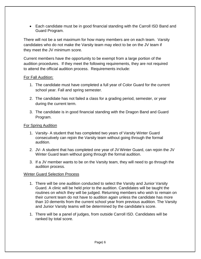Each candidate must be in good financial standing with the Carroll ISD Band and Guard Program.

There will not be a set maximum for how many members are on each team. Varsity candidates who do not make the Varsity team may elect to be on the JV team if they meet the JV minimum score.

Current members have the opportunity to be exempt from a large portion of the audition procedures. If they meet the following requirements, they are not required to attend the official audition process. Requirements include:

#### For Fall Audition:

- 1. The candidate must have completed a full year of Color Guard for the current school year. Fall and spring semester.
- 2. The candidate has not failed a class for a grading period, semester, or year during the current term.
- 3. The candidate is in good financial standing with the Dragon Band and Guard Program.

#### For Spring Audition

- 1. Varsity- A student that has completed two years of Varsity Winter Guard consecutively can rejoin the Varsity team without going through the formal audition.
- 2. JV- A student that has completed one year of JV Winter Guard, can rejoin the JV Winter Guard team without going through the formal audition.
- 3. If a JV member wants to be on the Varsity team, they will need to go through the audition process.

#### Winter Guard Selection Process

- 1. There will be one audition conducted to select the Varsity and Junior Varsity Guard. A clinic will be held prior to the audition. Candidates will be taught the routines on which they will be judged. Returning members who wish to remain on their current team do not have to audition again unless the candidate has more than 10 demerits from the current school year from previous audition. The Varsity and Junior Varsity teams will be determined by the candidate's score.
- 1. There will be a panel of judges, from outside Carroll ISD. Candidates will be ranked by total score.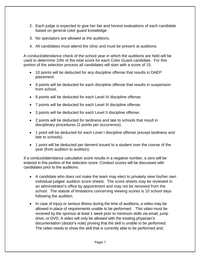- 2. Each judge is expected to give her fair and honest evaluations of each candidate based on general color guard knowledge
- 3. No spectators are allowed at the auditions.
- 4. All candidates must attend the clinic and must be present at auditions.

A conduct/attendance check of the school year in which the auditions are held will be used to determine 10% of the total score for each Color Guard candidate. For this portion of the selection process all candidates will start with a score of 15.

- 10 points will be deducted for any discipline offense that results in DAEP placement.
- 9 points will be deducted for each discipline offense that results in suspension from school.
- 8 points will be deducted for each Level IV discipline offense.
- 7 points will be deducted for each Level III discipline offense.
- 3 points will be deducted for each Level II discipline offense.
- 2 points will be deducted for tardiness and late to schools that result in disciplinary procedures (2 points per occurrence).
- 1 point will be deducted for each Level I discipline offense (except tardiness and late to schools).
- 1 point will be deducted per demerit issued to a student over the course of the year (from audition to audition).

If a conduct/attendance calculation score results in a negative number, a zero will be entered in this portion of the selection score. Conduct scores will be discussed with candidates prior to the auditions.

- A candidate who does not make the team may elect to privately view his/her own individual judges' audition score sheets. The score sheets may be reviewed in an administrator's office by appointment and may not be removed from the school. The statute of limitations concerning viewing scores is 10 school days following the audition.
- In case of injury or serious illness during the time of auditions, a video may be allowed in place of requirements unable to be performed. This video must be received by the sponsor at least 1 week prior to minimum skills via email, jump drive, or DVD. A video will only be allowed with the treating physician's documentation (doctor's note) proving that the skill is unable to be performed. The video needs to show the skill that is currently able to be performed and,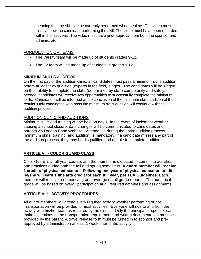meaning that the skill can be currently performed when healthy. The video must clearly show the candidate performing the skill. The video must have been recorded within the last year. The video must have prior approval from both the sponsor and administrator.

#### FORMULATION OF TEAMS

- The Varsity team will be made up of students grades 9-12.
- The JV team will be made up of students in grades 9-12.

#### MINIMUM SKILLS AUDITION

On the first day of the audition clinic, all candidates must pass a minimum skills audition before at least two qualified (experts in the field) judges. The candidates will be judged on their ability to complete the skills (determined by staff) competently and safely. If needed, candidates will receive two opportunities to successfully complete the minimum skills. Candidates will be informed at the conclusion of the minimum skills audition of the results. Only candidates who pass the minimum skills audition will continue with the audition process.

#### AUDITION CLINIC AND AUDITIONS

Minimum skills and training will be held on day 1. In the event of inclement weather causing a school closure, date changes will be communicated to candidates and parents via Dragon Band Website. Attendance during the entire audition process (minimum skills, training, and audition) is mandatory. If a candidate misses any part of the audition process, they may be disqualified and unable to complete audition.

## **ARTICLE VII - COLOR GUARD CLASS**

Color Guard is a full-year course, and the member is expected to commit to activities and practices during both the fall and spring semesters**. A guard member will receive 1 credit of physical education. Following one year of physical education credit, he/she will earn 1 fine arts credit for each full year, per TEA Guidelines.** Each member will receive a numerical grade average on all grade reports. The numerical grade will be based on overall participation at all required activities and assignments

## **ARTICLE VIII - ACTIVITY PROCEDURES**

.

All guard members will attend every required activity whether performing or not. Transportation will be provided to most activities. Everyone will ride to and from the activity with his/her team as required by the district. Only the principal or sponsor can make exceptions to the transportation requirement and written documentation must be provided by the parent. A travel release form must be turned in to sponsor and preapproved by administration at least 1 week prior to the activity.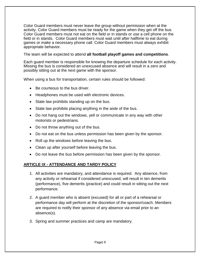Color Guard members must never leave the group without permission when at the activity. Color Guard members must be ready for the game when they get off the bus. Color Guard members must not eat on the field or in stands or use a cell phone on the field or in stands. Color Guard members must wait until after halftime to eat during games or make a necessary phone call. Color Guard members must always exhibit appropriate behavior.

The team will be expected to attend **all football playoff games and competitions**.

Each guard member is responsible for knowing the departure schedule for each activity. Missing the bus is considered an unexcused absence and will result in a zero and possibly sitting out at the next game with the sponsor.

When using a bus for transportation, certain rules should be followed:

- Be courteous to the bus driver.
- Headphones must be used with electronic devices.
- State law prohibits standing up on the bus.
- State law prohibits placing anything in the aisle of the bus.
- Do not hang out the windows, yell or communicate in any way with other motorists or pedestrians.
- Do not throw anything out of the bus.
- Do not eat on the bus unless permission has been given by the sponsor.
- Roll up the windows before leaving the bus.
- Clean up after yourself before leaving the bus.
- Do not leave the bus before permission has been given by the sponsor.

## **ARTICLE IX - ATTENDANCE AND TARDY POLICY**

- 1. All activities are mandatory, and attendance is required. Any absence, from any activity or rehearsal if considered unexcused, will result in ten demerits (performance), five demerits (practice) and could result in sitting out the next performance.
- 2. A guard member who is absent (excused) for all or part of a rehearsal or performance day will perform at the discretion of the sponsor/coach. Members are required to notify their sponsor of any absence via email prior to an absence(s).
- 3. Spring and summer practices and camp are mandatory.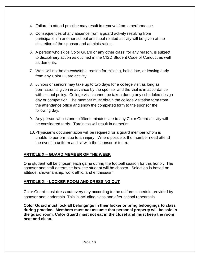- 4. Failure to attend practice may result in removal from a performance.
- 5. Consequences of any absence from a guard activity resulting from participation in another school or school-related activity will be given at the discretion of the sponsor and administration.
- 6. A person who skips Color Guard or any other class, for any reason, is subject to disciplinary action as outlined in the CISD Student Code of Conduct as well as demerits.
- 7. Work will not be an excusable reason for missing, being late, or leaving early from any Color Guard activity.
- 8. Juniors or seniors may take up to two days for a college visit as long as permission is given in advance by the sponsor and the visit is in accordance with school policy. College visits cannot be taken during any scheduled design day or competition. The member must obtain the college visitation form from the attendance office and show the completed form to the sponsor the following day.
- 9. Any person who is one to fifteen minutes late to any Color Guard activity will be considered tardy. Tardiness will result in demerits.
- 10.Physician's documentation will be required for a guard member whom is unable to perform due to an injury. Where possible, the member need attend the event in uniform and sit with the sponsor or team.

## **ARTICLE X – GUARD MEMBER OF THE WEEK**

One student will be chosen each game during the football season for this honor. The sponsor and staff determine how the student will be chosen. Selection is based on attitude, showmanship, work ethic, and enthusiasm.

## **ARTICLE XI - LOCKER ROOM AND DRESSING OUT**

Color Guard must dress out every day according to the uniform schedule provided by sponsor and leadership. This is including class and after school rehearsals.

**Color Guard must lock all belongings in their locker or bring belongings to class during practice. Members must not assume that personal property will be safe in the guard room. Color Guard must not eat in the closet and must keep the room neat and clean.**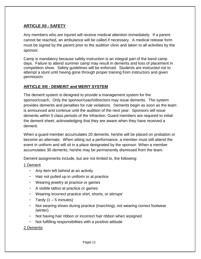#### **ARTICLE XII - SAFETY**

Any members who are injured will receive medical attention immediately. If a parent cannot be reached, an ambulance will be called if necessary. A medical release form must be signed by the parent prior to the audition clinic and taken to all activities by the sponsor.

Camp is mandatory because safety instruction is an integral part of the band camp days. Failure to attend summer camp may result in demerits and loss of placement in competition show. Safety guidelines will be enforced. Students are instructed not to attempt a stunt until having gone through proper training from instructors and given permission.

#### **ARTICLE XIII - DEMERIT and MERIT SYSTEM**

The demerit system is designed to provide a management system for the sponsor/coach. Only the sponsor/coach/directors may issue demerits. The system provides demerits and penalties for rule violations. Demerits begin as soon as the team is announced and continue until the audition of the next year. Sponsors will issue demerits within 5 class periods of the infraction. Guard members are required to initial the demerit sheet, acknowledging that they are aware when they have received a demerit.

When a guard member accumulates 20 demerits, he/she will be placed on probation or become an alternate. When sitting out a performance, a member must still attend the event in uniform and will sit in a place designated by the sponsor. When a member accumulates 30 demerits, he/she may be permanently dismissed from the team.

Demerit assignments include, but are not limited to, the following:

#### 1 Demerit

- $\cdot$  Any item left behind at an activity
- $\cdot$  Hair not pulled up in uniform or at practice
- ‣ Wearing jewelry at practice or games
- $\cdot$  A visible tattoo at practice or games
- ‣ Wearing incorrect practice shirt, shorts, or stirrups'
- $\cdot$  Tardy (1 5 minutes)
- ‣ Not wearing shoes during practice (marching), not wearing correct footwear (winter)
- ‣ Not having hair ribbon or incorrect hair ribbon when assigned
- $\sim$  Not fulfilling responsibilities with a positive attitude

#### 2 Demerits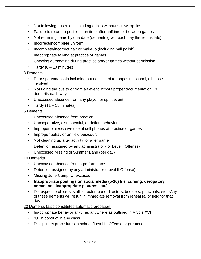- Not following bus rules, including drinks without screw top lids
- ‣ Failure to return to positions on time after halftime or between games
- Not returning items by due date (demerits given each day the item is late)
- ‣ Incorrect/incomplete uniform
- ‣ Incomplete/incorrect hair or makeup (including nail polish)
- ‣ Inappropriate talking at practice or games
- ‣ Chewing gum/eating during practice and/or games without permission
- $\cdot$  Tardy (6 10 minutes)

#### 3 Demerits

- ‣ Poor sportsmanship including but not limited to, opposing school, all those involved.
- $\cdot$  Not riding the bus to or from an event without proper documentation. 3 demerits each way.
- ‣ Unexcused absence from any playoff or spirit event
- $\cdot$  Tardy (11 15 minutes)

## 5 Demerits

- ‣ Unexcused absence from practice
- ‣ Uncooperative, disrespectful, or defiant behavior
- Improper or excessive use of cell phones at practice or games
- ‣ Improper behavior on field/bus/court
- $\cdot$  Not cleaning up after activity, or after game
- Detention assigned by any administrator (for Level I Offense)
- ‣ Unexcused Missing of Summer Band (per day)

## 10 Demerits

- ‣ Unexcused absence from a performance
- ‣ Detention assigned by any administrator (Level II Offense)
- ‣ Missing June Camp, Unexcused
- ‣ **Inappropriate postings on social media (5-10) (i.e. cursing, derogatory comments, inappropriate pictures, etc.)**
- Disrespect to officers, staff, director, band directors, boosters, principals, etc. \*Any of these demerits will result in immediate removal from rehearsal or field for that day.

## 20 Demerits (also constitutes automatic probation)

- ‣ Inappropriate behavior anytime, anywhere as outlined in Article XVI
- $\cdot$  "U" in conduct in any class
- ‣ Disciplinary procedures in school (Level III Offense or greater)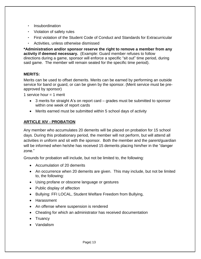- **Insubordination**
- ‣ Violation of safety rules
- ‣ First violation of the Student Code of Conduct and Standards for Extracurricular
- ‣ Activities, unless otherwise dismissed

**\*Administration and/or sponsor reserve the right to remove a member from any activity if deemed necessary.** (Example: Guard member refuses to follow directions during a game, sponsor will enforce a specific "sit out" time period, during said game. The member will remain seated for the specific time period).

## **MERITS:**

Merits can be used to offset demerits. Merits can be earned by performing an outside service for band or guard, or can be given by the sponsor. (Merit service must be preapproved by sponsor)

1 service hour  $=$  1 merit

- 3 merits for straight A's on report card grades must be submitted to sponsor within one week of report cards
- Merits earned must be submitted within 5 school days of activity

## **ARTICLE XIV - PROBATION**

Any member who accumulates 20 demerits will be placed on probation for 15 school days. During this probationary period, the member will not perform, but will attend all activities in uniform and sit with the sponsor. Both the member and the parent/guardian will be informed when he/she has received 15 demerits placing him/her in the "danger zone."

Grounds for probation will include, but not be limited to, the following:

- Accumulation of 20 demerits
- An occurrence when 20 demerits are given. This may include, but not be limited to, the following:
- Using profane or obscene language or gestures
- Public display of affection
- Bullying: FFI LOCAL, Student Welfare Freedom from Bullying,
- Harassment
- An offense where suspension is rendered
- Cheating for which an administrator has received documentation
- Truancy
- Vandalism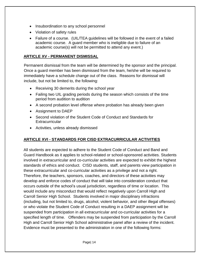- Insubordination to any school personnel
- Violation of safety rules
- Failure of a course. (UIL/TEA guidelines will be followed in the event of a failed academic course. A guard member who is ineligible due to failure of an academic course(s) will not be permitted to attend any event.)

#### **ARTICLE XV - PERMANENT DISMISSAL**

Permanent dismissal from the team will be determined by the sponsor and the principal. Once a guard member has been dismissed from the team, he/she will be required to immediately have a schedule change out of the class. Reasons for dismissal will include, but not be limited to, the following:

- Receiving 30 demerits during the school year
- Failing two UIL grading periods during the season which consists of the time period from audition to audition
- A second probation level offense where probation has already been given
- Assignment to DAEP
- Second violation of the Student Code of Conduct and Standards for **Extracurricular**
- Activities, unless already dismissed

## **ARTICLE XVI - STANDARDS FOR CISD EXTRACURRICULAR ACTIVITIES**

All students are expected to adhere to the Student Code of Conduct and Band and Guard Handbook as it applies to school-related or school-sponsored activities. Students involved in extracurricular and co-curricular activities are expected to exhibit the highest standards of ethics and conduct. CISD students, staff, and parents view participation in these extracurricular and co-curricular activities as a privilege and not a right. Therefore, the teachers, sponsors, coaches, and directors of these activities may develop and enforce codes of conduct that will take into consideration conduct that occurs outside of the school's usual jurisdiction, regardless of time or location. This would include any misconduct that would reflect negatively upon Carroll High and Carroll Senior High School. Students involved in major disciplinary infractions (including, but not limited to, drugs, alcohol, violent behavior, and other illegal offenses) or who violate the Student Code of Conduct resulting in a DAEP assignment will be suspended from participation in all extracurricular and co-curricular activities for a specified length of time. Offenders may be suspended from participation by the Carroll High and Carroll Senior High School administrative panel after a review of the incident. Evidence must be presented to the administration in one of the following forms: